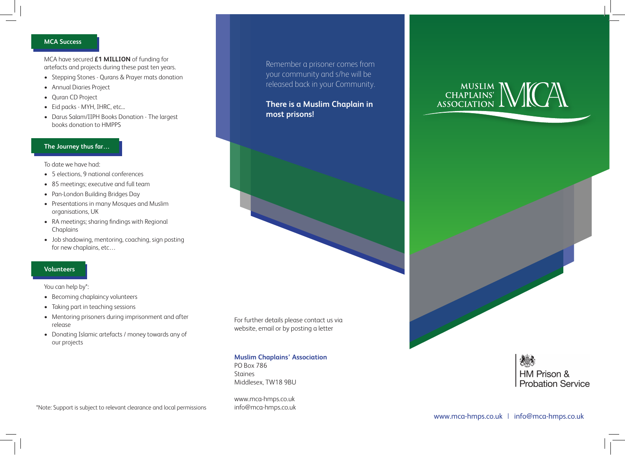#### **MCA Success**

MCA have secured **£1 MILLION** of funding for artefacts and projects during these past ten years.

- Stepping Stones Qurans & Prayer mats donation
- Annual Diaries Project
- Quran CD Project
- Eid packs MYH, IHRC, etc...
- Darus Salam/IIPH Books Donation The largest books donation to HMPPS

# **The Journey thus far…**

To date we have had:

- 5 elections, 9 national conferences
- 85 meetings; executive and full team
- Pan-London Building Bridges Day
- Presentations in many Mosques and Muslim organisations, UK
- RA meetings; sharing findings with Regional Chaplains
- Job shadowing, mentoring, coaching, sign posting for new chaplains, etc…

# **Volunteers**

You can help by\*:

- Becoming chaplaincy volunteers
- Taking part in teaching sessions
- Mentoring prisoners during imprisonment and after release
- Donating Islamic artefacts / money towards any of our projects

\*Note: Support is subject to relevant clearance and local permissions info@mca-hmps.co.uk

Remember a prisoner comes from your community and s/he will be released back in your Community.

**There is a Muslim Chaplain in most prisons!**

For further details please contact us via website, email or by posting a letter

## **Muslim Chaplains' Association**

PO Box 786 Staines Middlesex, TW18 9BU

www.mca-hmps.co.uk